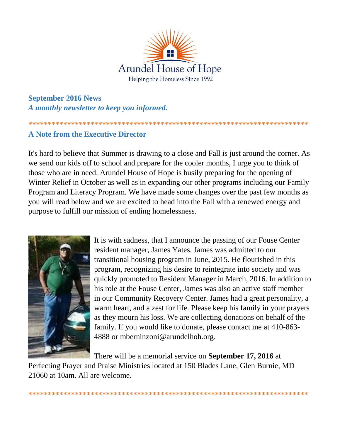

**September 2016 News** A monthly newsletter to keep you informed.

# **A Note from the Executive Director**

It's hard to believe that Summer is drawing to a close and Fall is just around the corner. As we send our kids off to school and prepare for the cooler months, I urge you to think of those who are in need. Arundel House of Hope is busily preparing for the opening of Winter Relief in October as well as in expanding our other programs including our Family Program and Literacy Program. We have made some changes over the past few months as you will read below and we are excited to head into the Fall with a renewed energy and purpose to fulfill our mission of ending homelessness.



It is with sadness, that I announce the passing of our Fouse Center resident manager, James Yates. James was admitted to our transitional housing program in June, 2015. He flourished in this program, recognizing his desire to reintegrate into society and was quickly promoted to Resident Manager in March, 2016. In addition to his role at the Fouse Center, James was also an active staff member in our Community Recovery Center. James had a great personality, a warm heart, and a zest for life. Please keep his family in your prayers as they mourn his loss. We are collecting donations on behalf of the family. If you would like to donate, please contact me at 410-863-4888 or mberninzoni@arundelhoh.org.

There will be a memorial service on **September 17, 2016** at

Perfecting Prayer and Praise Ministries located at 150 Blades Lane, Glen Burnie, MD 21060 at 10am. All are welcome.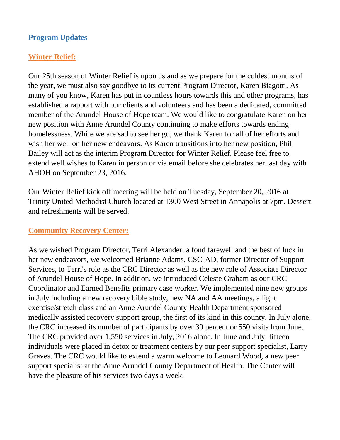## **Program Updates**

# **Winter Relief:**

Our 25th season of Winter Relief is upon us and as we prepare for the coldest months of the year, we must also say goodbye to its current Program Director, Karen Biagotti. As many of you know, Karen has put in countless hours towards this and other programs, has established a rapport with our clients and volunteers and has been a dedicated, committed member of the Arundel House of Hope team. We would like to congratulate Karen on her new position with Anne Arundel County continuing to make efforts towards ending homelessness. While we are sad to see her go, we thank Karen for all of her efforts and wish her well on her new endeavors. As Karen transitions into her new position, Phil Bailey will act as the interim Program Director for Winter Relief. Please feel free to extend well wishes to Karen in person or via email before she celebrates her last day with AHOH on September 23, 2016.

Our Winter Relief kick off meeting will be held on Tuesday, September 20, 2016 at Trinity United Methodist Church located at 1300 West Street in Annapolis at 7pm. Dessert and refreshments will be served.

#### **Community Recovery Center:**

As we wished Program Director, Terri Alexander, a fond farewell and the best of luck in her new endeavors, we welcomed Brianne Adams, CSC-AD, former Director of Support Services, to Terri's role as the CRC Director as well as the new role of Associate Director of Arundel House of Hope. In addition, we introduced Celeste Graham as our CRC Coordinator and Earned Benefits primary case worker. We implemented nine new groups in July including a new recovery bible study, new NA and AA meetings, a light exercise/stretch class and an Anne Arundel County Health Department sponsored medically assisted recovery support group, the first of its kind in this county. In July alone, the CRC increased its number of participants by over 30 percent or 550 visits from June. The CRC provided over 1,550 services in July, 2016 alone. In June and July, fifteen individuals were placed in detox or treatment centers by our peer support specialist, Larry Graves. The CRC would like to extend a warm welcome to Leonard Wood, a new peer support specialist at the Anne Arundel County Department of Health. The Center will have the pleasure of his services two days a week.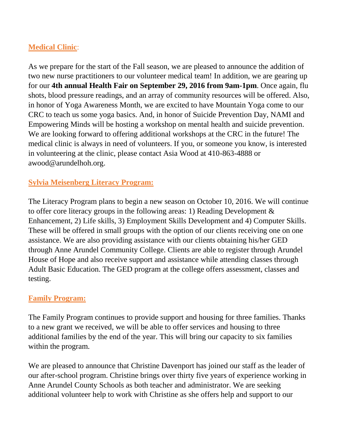# **Medical Clinic**:

As we prepare for the start of the Fall season, we are pleased to announce the addition of two new nurse practitioners to our volunteer medical team! In addition, we are gearing up for our **4th annual Health Fair on September 29, 2016 from 9am-1pm**. Once again, flu shots, blood pressure readings, and an array of community resources will be offered. Also, in honor of Yoga Awareness Month, we are excited to have Mountain Yoga come to our CRC to teach us some yoga basics. And, in honor of Suicide Prevention Day, NAMI and Empowering Minds will be hosting a workshop on mental health and suicide prevention. We are looking forward to offering additional workshops at the CRC in the future! The medical clinic is always in need of volunteers. If you, or someone you know, is interested in volunteering at the clinic, please contact Asia Wood at 410-863-4888 or awood@arundelhoh.org.

#### **Sylvia Meisenberg Literacy Program:**

The Literacy Program plans to begin a new season on October 10, 2016. We will continue to offer core literacy groups in the following areas: 1) Reading Development & Enhancement, 2) Life skills, 3) Employment Skills Development and 4) Computer Skills. These will be offered in small groups with the option of our clients receiving one on one assistance. We are also providing assistance with our clients obtaining his/her GED through Anne Arundel Community College. Clients are able to register through Arundel House of Hope and also receive support and assistance while attending classes through Adult Basic Education. The GED program at the college offers assessment, classes and testing.

#### **Family Program:**

The Family Program continues to provide support and housing for three families. Thanks to a new grant we received, we will be able to offer services and housing to three additional families by the end of the year. This will bring our capacity to six families within the program.

We are pleased to announce that Christine Davenport has joined our staff as the leader of our after-school program. Christine brings over thirty five years of experience working in Anne Arundel County Schools as both teacher and administrator. We are seeking additional volunteer help to work with Christine as she offers help and support to our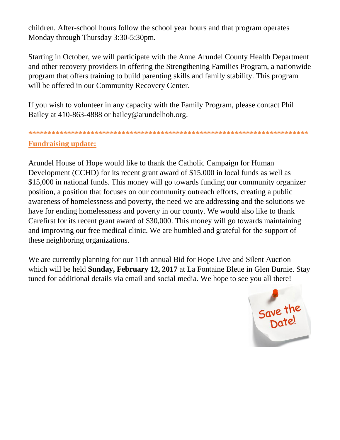children. After-school hours follow the school year hours and that program operates Monday through Thursday 3:30-5:30pm.

Starting in October, we will participate with the Anne Arundel County Health Department and other recovery providers in offering the Strengthening Families Program, a nationwide program that offers training to build parenting skills and family stability. This program will be offered in our Community Recovery Center.

If you wish to volunteer in any capacity with the Family Program, please contact Phil Bailey at 410-863-4888 or bailey@arundelhoh.org.

# **\*\*\*\*\*\*\*\*\*\*\*\*\*\*\*\*\*\*\*\*\*\*\*\*\*\*\*\*\*\*\*\*\*\*\*\*\*\*\*\*\*\*\*\*\*\*\*\*\*\*\*\*\*\*\*\*\*\*\*\*\*\*\*\*\*\*\*\*\*\*\*\* Fundraising update:**

Arundel House of Hope would like to thank the Catholic Campaign for Human Development (CCHD) for its recent grant award of \$15,000 in local funds as well as \$15,000 in national funds. This money will go towards funding our community organizer position, a position that focuses on our community outreach efforts, creating a public awareness of homelessness and poverty, the need we are addressing and the solutions we have for ending homelessness and poverty in our county. We would also like to thank Carefirst for its recent grant award of \$30,000. This money will go towards maintaining and improving our free medical clinic. We are humbled and grateful for the support of these neighboring organizations.

We are currently planning for our 11th annual Bid for Hope Live and Silent Auction which will be held **Sunday, February 12, 2017** at La Fontaine Bleue in Glen Burnie. Stay tuned for additional details via email and social media. We hope to see you all there!